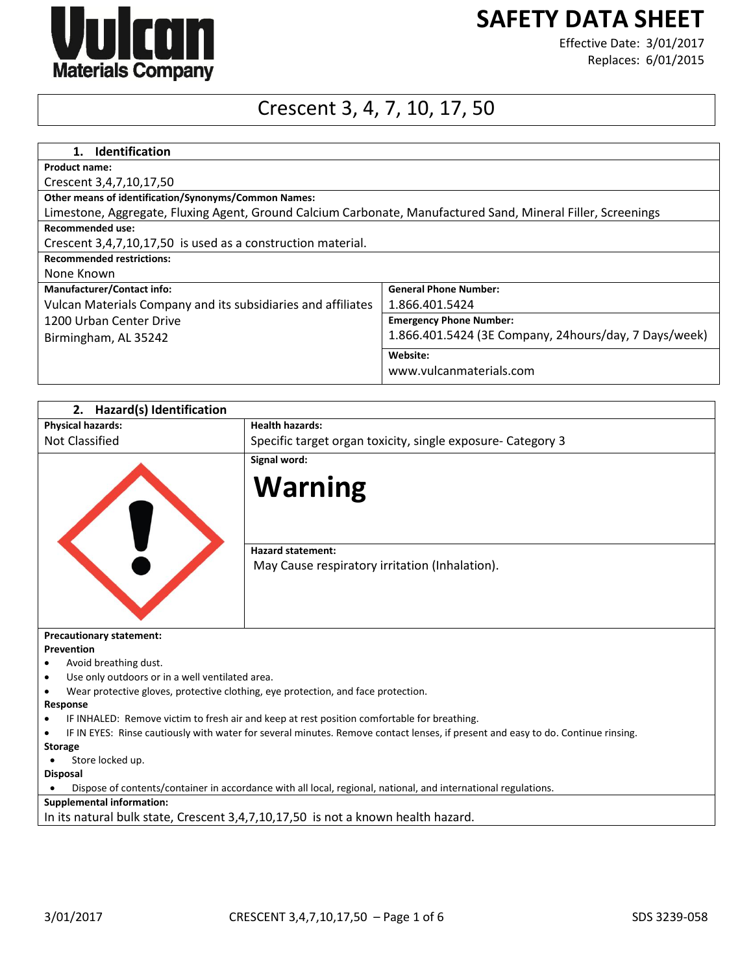

# **SAFETY DATA SHEET**

Effective Date: 3/01/2017 Replaces: 6/01/2015

## Crescent 3, 4, 7, 10, 17, 50

| 1. Identification                                                                                            |                                                        |  |  |
|--------------------------------------------------------------------------------------------------------------|--------------------------------------------------------|--|--|
| <b>Product name:</b>                                                                                         |                                                        |  |  |
| Crescent 3,4,7,10,17,50                                                                                      |                                                        |  |  |
| Other means of identification/Synonyms/Common Names:                                                         |                                                        |  |  |
| Limestone, Aggregate, Fluxing Agent, Ground Calcium Carbonate, Manufactured Sand, Mineral Filler, Screenings |                                                        |  |  |
| <b>Recommended use:</b>                                                                                      |                                                        |  |  |
| Crescent 3,4,7,10,17,50 is used as a construction material.                                                  |                                                        |  |  |
| <b>Recommended restrictions:</b>                                                                             |                                                        |  |  |
| None Known                                                                                                   |                                                        |  |  |
| <b>Manufacturer/Contact info:</b>                                                                            | <b>General Phone Number:</b>                           |  |  |
| Vulcan Materials Company and its subsidiaries and affiliates                                                 | 1.866.401.5424                                         |  |  |
| 1200 Urban Center Drive                                                                                      | <b>Emergency Phone Number:</b>                         |  |  |
| Birmingham, AL 35242                                                                                         | 1.866.401.5424 (3E Company, 24 hours/day, 7 Days/week) |  |  |
|                                                                                                              | Website:                                               |  |  |
|                                                                                                              | www.vulcanmaterials.com                                |  |  |

| 2. Hazard(s) Identification                                                                                                                   |                                                                                             |  |  |
|-----------------------------------------------------------------------------------------------------------------------------------------------|---------------------------------------------------------------------------------------------|--|--|
| <b>Physical hazards:</b>                                                                                                                      | <b>Health hazards:</b>                                                                      |  |  |
| Not Classified                                                                                                                                | Specific target organ toxicity, single exposure- Category 3                                 |  |  |
|                                                                                                                                               | Signal word:<br><b>Warning</b>                                                              |  |  |
|                                                                                                                                               | <b>Hazard statement:</b><br>May Cause respiratory irritation (Inhalation).                  |  |  |
| <b>Precautionary statement:</b>                                                                                                               |                                                                                             |  |  |
| Prevention                                                                                                                                    |                                                                                             |  |  |
| Avoid breathing dust.                                                                                                                         |                                                                                             |  |  |
| Use only outdoors or in a well ventilated area.                                                                                               |                                                                                             |  |  |
| Wear protective gloves, protective clothing, eye protection, and face protection.                                                             |                                                                                             |  |  |
| Response                                                                                                                                      |                                                                                             |  |  |
|                                                                                                                                               | IF INHALED: Remove victim to fresh air and keep at rest position comfortable for breathing. |  |  |
| IF IN EYES: Rinse cautiously with water for several minutes. Remove contact lenses, if present and easy to do. Continue rinsing.<br>$\bullet$ |                                                                                             |  |  |
| <b>Storage</b>                                                                                                                                |                                                                                             |  |  |
| Store locked up.                                                                                                                              |                                                                                             |  |  |
| <b>Disposal</b>                                                                                                                               |                                                                                             |  |  |
| Dispose of contents/container in accordance with all local, regional, national, and international regulations.                                |                                                                                             |  |  |
| <b>Supplemental information:</b>                                                                                                              |                                                                                             |  |  |
| In its natural bulk state, Crescent 3,4,7,10,17,50 is not a known health hazard.                                                              |                                                                                             |  |  |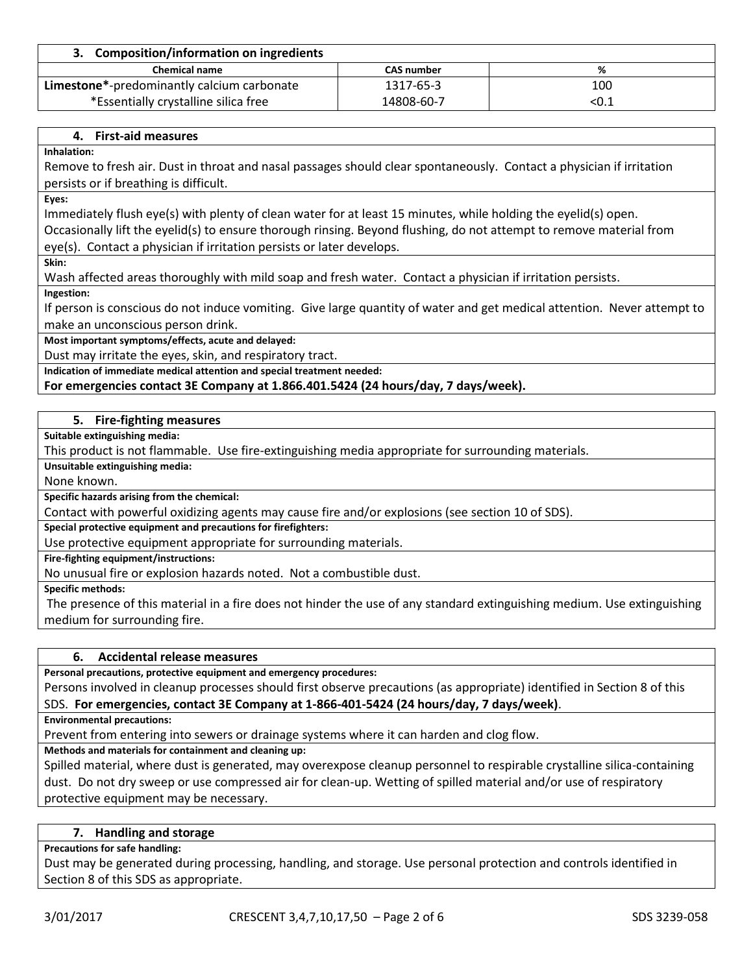| 3. Composition/information on ingredients  |                   |      |
|--------------------------------------------|-------------------|------|
| <b>Chemical name</b>                       | <b>CAS number</b> | %    |
| Limestone*-predominantly calcium carbonate | 1317-65-3         | 100  |
| *Essentially crystalline silica free       | 14808-60-7        | <0.1 |

#### **4. First-aid measures**

**Inhalation:**

Remove to fresh air. Dust in throat and nasal passages should clear spontaneously. Contact a physician if irritation persists or if breathing is difficult.

**Eyes:**

Immediately flush eye(s) with plenty of clean water for at least 15 minutes, while holding the eyelid(s) open. Occasionally lift the eyelid(s) to ensure thorough rinsing. Beyond flushing, do not attempt to remove material from eye(s). Contact a physician if irritation persists or later develops.

**Skin:**

Wash affected areas thoroughly with mild soap and fresh water. Contact a physician if irritation persists.

**Ingestion:**

If person is conscious do not induce vomiting. Give large quantity of water and get medical attention. Never attempt to make an unconscious person drink.

**Most important symptoms/effects, acute and delayed:**

Dust may irritate the eyes, skin, and respiratory tract.

**Indication of immediate medical attention and special treatment needed:**

**For emergencies contact 3E Company at 1.866.401.5424 (24 hours/day, 7 days/week).**

#### **5. Fire-fighting measures**

**Suitable extinguishing media:**

This product is not flammable. Use fire-extinguishing media appropriate for surrounding materials.

**Unsuitable extinguishing media:**

None known.

**Specific hazards arising from the chemical:**

Contact with powerful oxidizing agents may cause fire and/or explosions (see section 10 of SDS).

**Special protective equipment and precautions for firefighters:**

Use protective equipment appropriate for surrounding materials.

**Fire-fighting equipment/instructions:**

No unusual fire or explosion hazards noted. Not a combustible dust.

**Specific methods:**

The presence of this material in a fire does not hinder the use of any standard extinguishing medium. Use extinguishing medium for surrounding fire.

#### **6. Accidental release measures**

**Personal precautions, protective equipment and emergency procedures:**

Persons involved in cleanup processes should first observe precautions (as appropriate) identified in Section 8 of this SDS. **For emergencies, contact 3E Company at 1-866-401-5424 (24 hours/day, 7 days/week)**.

**Environmental precautions:**

Prevent from entering into sewers or drainage systems where it can harden and clog flow.

**Methods and materials for containment and cleaning up:**

Spilled material, where dust is generated, may overexpose cleanup personnel to respirable crystalline silica-containing dust. Do not dry sweep or use compressed air for clean-up. Wetting of spilled material and/or use of respiratory protective equipment may be necessary.

#### **7. Handling and storage**

#### **Precautions for safe handling:**

Dust may be generated during processing, handling, and storage. Use personal protection and controls identified in Section 8 of this SDS as appropriate.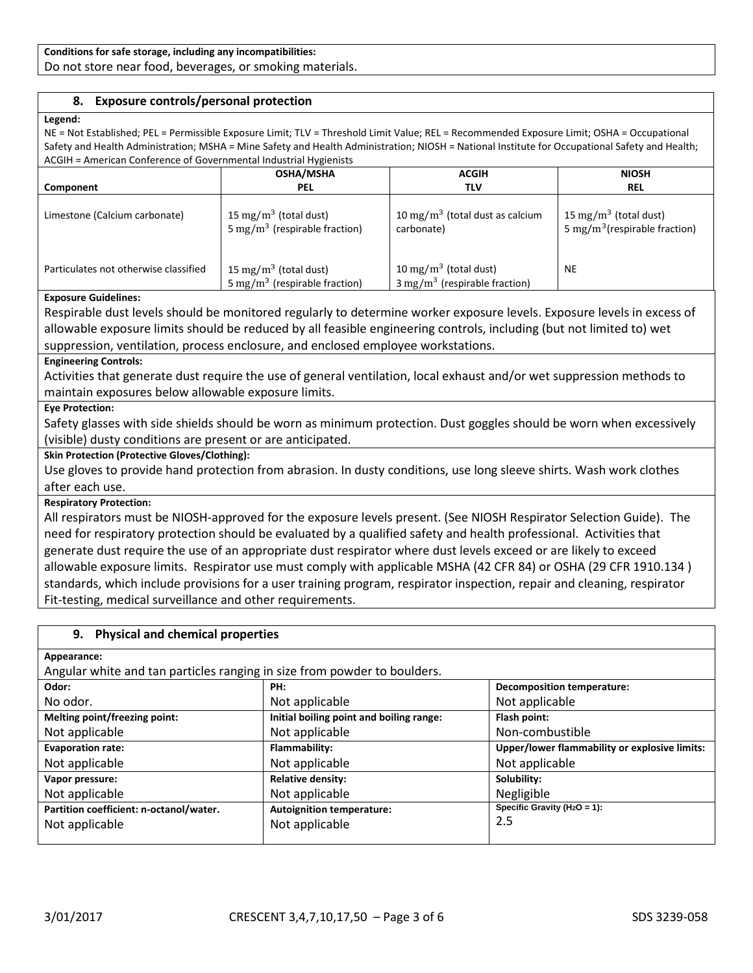#### **Conditions for safe storage, including any incompatibilities:**

Do not store near food, beverages, or smoking materials.

### **8. Exposure controls/personal protection**

#### **Legend:**

NE = Not Established; PEL = Permissible Exposure Limit; TLV = Threshold Limit Value; REL = Recommended Exposure Limit; OSHA = Occupational Safety and Health Administration; MSHA = Mine Safety and Health Administration; NIOSH = National Institute for Occupational Safety and Health; ACGIH = American Conference of Governmental Industrial Hygienists

|                                       | <b>OSHA/MSHA</b>                                                               | <b>ACGIH</b>                                                                  | <b>NIOSH</b>                                                                   |  |
|---------------------------------------|--------------------------------------------------------------------------------|-------------------------------------------------------------------------------|--------------------------------------------------------------------------------|--|
| Component                             | <b>PEL</b>                                                                     | TLV                                                                           | <b>REL</b>                                                                     |  |
| Limestone (Calcium carbonate)         | 15 mg/m <sup>3</sup> (total dust)<br>5 mg/m <sup>3</sup> (respirable fraction) | 10 mg/m <sup>3</sup> (total dust as calcium<br>carbonate)                     | 15 mg/m <sup>3</sup> (total dust)<br>5 mg/m <sup>3</sup> (respirable fraction) |  |
| Particulates not otherwise classified | 15 mg/m <sup>3</sup> (total dust)<br>5 mg/m <sup>3</sup> (respirable fraction) | 10 mg/m <sup>3</sup> (total dust)<br>$3 \text{ mg/m}^3$ (respirable fraction) | <b>NE</b>                                                                      |  |

#### **Exposure Guidelines:**

Respirable dust levels should be monitored regularly to determine worker exposure levels. Exposure levels in excess of allowable exposure limits should be reduced by all feasible engineering controls, including (but not limited to) wet suppression, ventilation, process enclosure, and enclosed employee workstations.

#### **Engineering Controls:**

Activities that generate dust require the use of general ventilation, local exhaust and/or wet suppression methods to maintain exposures below allowable exposure limits.

#### **Eye Protection:**

Safety glasses with side shields should be worn as minimum protection. Dust goggles should be worn when excessively (visible) dusty conditions are present or are anticipated.

#### **Skin Protection (Protective Gloves/Clothing):**

Use gloves to provide hand protection from abrasion. In dusty conditions, use long sleeve shirts. Wash work clothes after each use.

#### **Respiratory Protection:**

All respirators must be NIOSH-approved for the exposure levels present. (See NIOSH Respirator Selection Guide). The need for respiratory protection should be evaluated by a qualified safety and health professional. Activities that generate dust require the use of an appropriate dust respirator where dust levels exceed or are likely to exceed allowable exposure limits. Respirator use must comply with applicable MSHA (42 CFR 84) or OSHA (29 CFR 1910.134 ) standards, which include provisions for a user training program, respirator inspection, repair and cleaning, respirator Fit-testing, medical surveillance and other requirements.

#### **9. Physical and chemical properties**

**Appearance:**

Angular white and tan particles ranging in size from powder to boulders.

| Odor:                                   | PH:                                      | <b>Decomposition temperature:</b>             |  |
|-----------------------------------------|------------------------------------------|-----------------------------------------------|--|
| No odor.                                | Not applicable                           | Not applicable                                |  |
| Melting point/freezing point:           | Initial boiling point and boiling range: | Flash point:                                  |  |
| Not applicable                          | Not applicable                           | Non-combustible                               |  |
| <b>Evaporation rate:</b>                | Flammability:                            | Upper/lower flammability or explosive limits: |  |
| Not applicable                          | Not applicable                           | Not applicable                                |  |
| Vapor pressure:                         | <b>Relative density:</b>                 | Solubility:                                   |  |
| Not applicable                          | Not applicable                           | Negligible                                    |  |
| Partition coefficient: n-octanol/water. | <b>Autoignition temperature:</b>         | Specific Gravity ( $H_2O = 1$ ):              |  |
| Not applicable                          | Not applicable                           | 2.5                                           |  |
|                                         |                                          |                                               |  |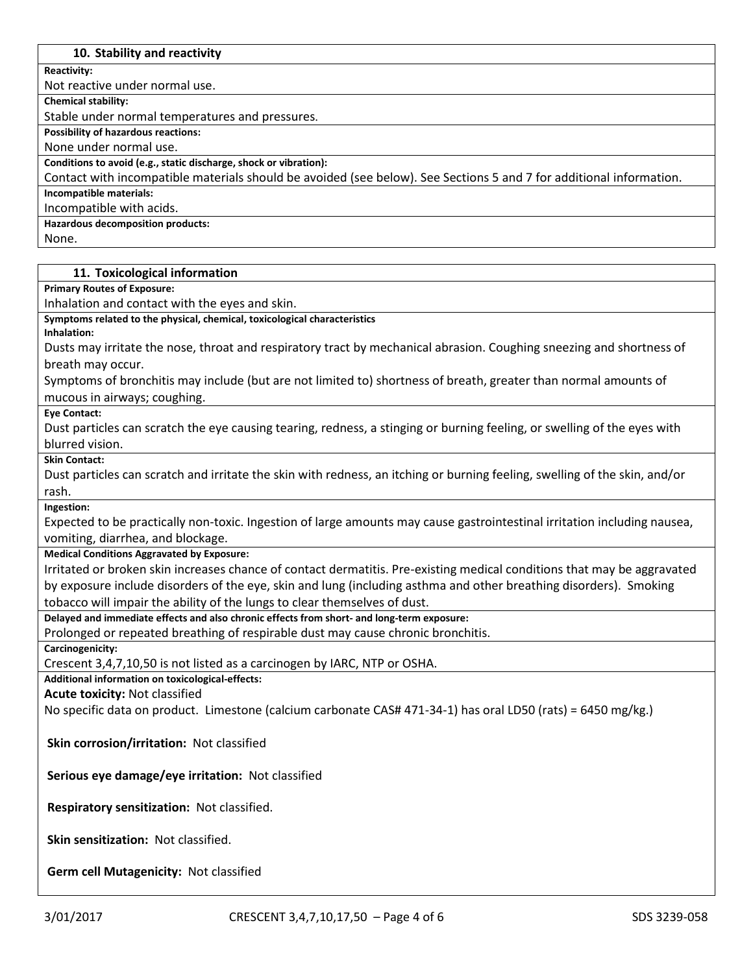#### **10. Stability and reactivity**

**Reactivity:**

Not reactive under normal use.

**Chemical stability:**

Stable under normal temperatures and pressures.

**Possibility of hazardous reactions:**

None under normal use.

**Conditions to avoid (e.g., static discharge, shock or vibration):**

Contact with incompatible materials should be avoided (see below). See Sections 5 and 7 for additional information.

**Incompatible materials:**

Incompatible with acids.

**Hazardous decomposition products:**

None.

#### **11. Toxicological information**

**Primary Routes of Exposure:**

Inhalation and contact with the eyes and skin.

**Symptoms related to the physical, chemical, toxicological characteristics**

**Inhalation:**

Dusts may irritate the nose, throat and respiratory tract by mechanical abrasion. Coughing sneezing and shortness of breath may occur.

Symptoms of bronchitis may include (but are not limited to) shortness of breath, greater than normal amounts of mucous in airways; coughing.

**Eye Contact:**

Dust particles can scratch the eye causing tearing, redness, a stinging or burning feeling, or swelling of the eyes with blurred vision.

**Skin Contact:**

Dust particles can scratch and irritate the skin with redness, an itching or burning feeling, swelling of the skin, and/or rash.

**Ingestion:**

Expected to be practically non-toxic. Ingestion of large amounts may cause gastrointestinal irritation including nausea, vomiting, diarrhea, and blockage.

**Medical Conditions Aggravated by Exposure:**

Irritated or broken skin increases chance of contact dermatitis. Pre-existing medical conditions that may be aggravated by exposure include disorders of the eye, skin and lung (including asthma and other breathing disorders). Smoking tobacco will impair the ability of the lungs to clear themselves of dust.

**Delayed and immediate effects and also chronic effects from short- and long-term exposure:**

Prolonged or repeated breathing of respirable dust may cause chronic bronchitis.

**Carcinogenicity:**

Crescent 3,4,7,10,50 is not listed as a carcinogen by IARC, NTP or OSHA.

**Additional information on toxicological-effects:**

**Acute toxicity:** Not classified

No specific data on product. Limestone (calcium carbonate CAS# 471-34-1) has oral LD50 (rats) = 6450 mg/kg.)

**Skin corrosion/irritation:** Not classified

**Serious eye damage/eye irritation:** Not classified

**Respiratory sensitization:** Not classified.

**Skin sensitization:** Not classified.

**Germ cell Mutagenicity:** Not classified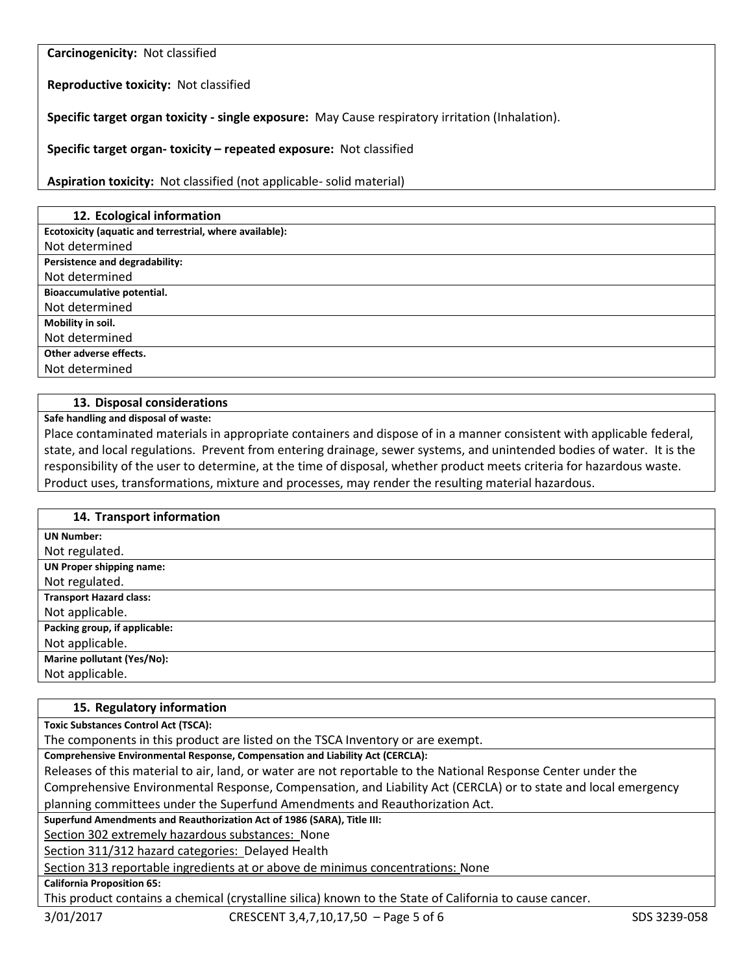**Carcinogenicity:** Not classified

**Reproductive toxicity:** Not classified

**Specific target organ toxicity - single exposure:** May Cause respiratory irritation (Inhalation).

**Specific target organ- toxicity – repeated exposure:** Not classified

**Aspiration toxicity:** Not classified (not applicable- solid material)

| 12. Ecological information                              |
|---------------------------------------------------------|
| Ecotoxicity (aquatic and terrestrial, where available): |
| Not determined                                          |
| Persistence and degradability:                          |
| Not determined                                          |
| Bioaccumulative potential.                              |
| Not determined                                          |
| Mobility in soil.                                       |
| Not determined                                          |
| Other adverse effects.                                  |
| Not determined                                          |

#### **13. Disposal considerations**

**Safe handling and disposal of waste:**

Place contaminated materials in appropriate containers and dispose of in a manner consistent with applicable federal, state, and local regulations. Prevent from entering drainage, sewer systems, and unintended bodies of water. It is the responsibility of the user to determine, at the time of disposal, whether product meets criteria for hazardous waste. Product uses, transformations, mixture and processes, may render the resulting material hazardous.

| 14. Transport information       |
|---------------------------------|
| <b>UN Number:</b>               |
| Not regulated.                  |
| <b>UN Proper shipping name:</b> |
| Not regulated.                  |
| <b>Transport Hazard class:</b>  |
| Not applicable.                 |
| Packing group, if applicable:   |
| Not applicable.                 |
| Marine pollutant (Yes/No):      |
| Not applicable.                 |

#### **15. Regulatory information**

**Toxic Substances Control Act (TSCA):**

The components in this product are listed on the TSCA Inventory or are exempt.

**Comprehensive Environmental Response, Compensation and Liability Act (CERCLA):**

Releases of this material to air, land, or water are not reportable to the National Response Center under the Comprehensive Environmental Response, Compensation, and Liability Act (CERCLA) or to state and local emergency planning committees under the Superfund Amendments and Reauthorization Act.

**Superfund Amendments and Reauthorization Act of 1986 (SARA), Title III:**

Section 302 extremely hazardous substances: None

Section 311/312 hazard categories: Delayed Health

Section 313 reportable ingredients at or above de minimus concentrations: None

**California Proposition 65:**

This product contains a chemical (crystalline silica) known to the State of California to cause cancer.